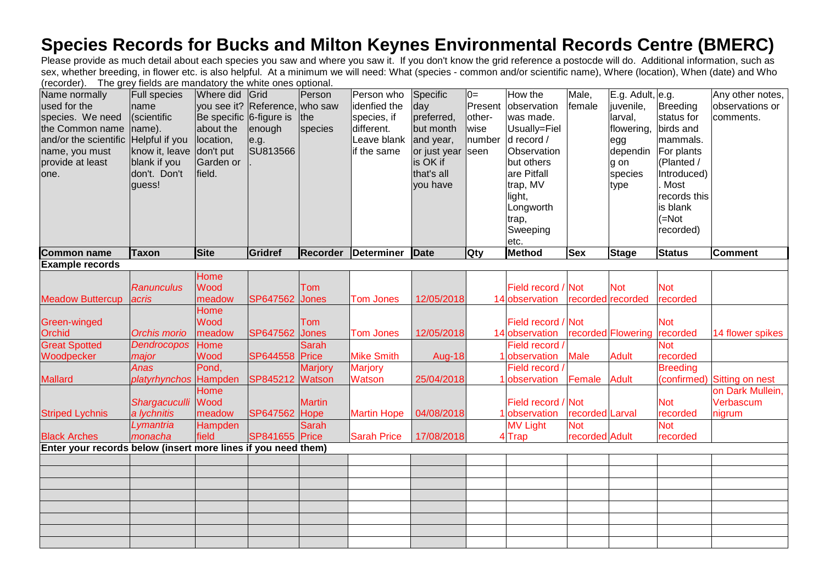## **Species Records for Bucks and Milton Keynes Environmental Records Centre (BMERC)**

Please provide as much detail about each species you saw and where you saw it. If you don't know the grid reference a postocde will do. Additional information, such as sex, whether breeding, in flower etc. is also helpful. At a minimum we will need: What (species - common and/or scientific name), Where (location), When (date) and Who (recorder). The grey fields are mandatory the white ones optional.

| Name normally                                                 | <b>Full species</b>   | Where did               | Grid                           | Person         | Person who         | Specific      | $0=$       | How the            | Male,           | E.g. Adult, e.g.   |                 | Any other notes, |
|---------------------------------------------------------------|-----------------------|-------------------------|--------------------------------|----------------|--------------------|---------------|------------|--------------------|-----------------|--------------------|-----------------|------------------|
| used for the                                                  | name                  |                         | you see it? Reference, who saw |                | idenfied the       | day           | Present    | observation        | female          | juvenile,          | Breeding        | observations or  |
| species. We need                                              | (scientific           | Be specific 6-figure is |                                | the            | species, if        | preferred,    | other-     | was made.          |                 | larval,            | status for      | comments.        |
| the Common name                                               | name).                | about the               | enough                         | species        | different.         | but month     | wise       | Usually=Fiel       |                 | flowering,         | birds and       |                  |
| and/or the scientific                                         | Helpful if you        | location,               | e.g.                           |                | Leave blank        | and year,     | number     | d record /         |                 | egg                | mammals.        |                  |
| name, you must                                                | know it, leave        | don't put               | SU813566                       |                | if the same        | or just year  | seen       | Observation        |                 | dependin           | For plants      |                  |
| provide at least                                              | blank if you          | Garden or               |                                |                |                    | is OK if      |            | but others         |                 | g on               | (Planted /      |                  |
| one.                                                          | don't. Don't          | field.                  |                                |                |                    | that's all    |            | are Pitfall        |                 | species            | Introduced)     |                  |
|                                                               | guess!                |                         |                                |                |                    | you have      |            | trap, MV           |                 | type               | Most            |                  |
|                                                               |                       |                         |                                |                |                    |               |            | light,             |                 |                    | records this    |                  |
|                                                               |                       |                         |                                |                |                    |               |            | Longworth          |                 |                    | is blank        |                  |
|                                                               |                       |                         |                                |                |                    |               |            | trap,              |                 |                    | $(=\text{Not})$ |                  |
|                                                               |                       |                         |                                |                |                    |               |            | Sweeping           |                 |                    | recorded)       |                  |
|                                                               |                       |                         |                                |                |                    |               |            | etc.               |                 |                    |                 |                  |
| <b>Common name</b>                                            | <b>Taxon</b>          | <b>Site</b>             | Gridref                        | Recorder       | <b>Determiner</b>  | <b>Date</b>   | <b>Qty</b> | <b>Method</b>      | <b>Sex</b>      | Stage              | <b>Status</b>   | <b>Comment</b>   |
| <b>Example records</b>                                        |                       |                         |                                |                |                    |               |            |                    |                 |                    |                 |                  |
|                                                               |                       | Home                    |                                |                |                    |               |            |                    |                 |                    |                 |                  |
|                                                               | <b>Ranunculus</b>     | Wood                    |                                | Tom            |                    |               |            | Field record       | Not             | <b>Not</b>         | <b>Not</b>      |                  |
| <b>Meadow Buttercup</b>                                       | acris                 | meadow                  | SP647562                       | <b>Jones</b>   | <b>Tom Jones</b>   | 12/05/2018    |            | 14 observation     |                 | recorded recorded  | recorded        |                  |
|                                                               |                       | Home                    |                                |                |                    |               |            |                    |                 |                    |                 |                  |
| Green-winged                                                  |                       | Wood                    |                                | Tom            |                    |               |            | Field record       | Not             |                    | <b>Not</b>      |                  |
| Orchid                                                        | Orchis morio          | meadow                  | SP647562                       | <b>Jones</b>   | <b>Tom Jones</b>   | 12/05/2018    |            | 14 observation     |                 | recorded Flowering | recorded        | 14 flower spikes |
| <b>Great Spotted</b>                                          | <b>Dendrocopos</b>    | Home                    |                                | <b>Sarah</b>   |                    |               |            | Field record       |                 |                    | <b>Not</b>      |                  |
| Woodpecker                                                    | major                 | Wood                    | <b>SP644558 Price</b>          |                | <b>Mike Smith</b>  | <b>Aug-18</b> |            | <b>observation</b> | <b>Male</b>     | <b>Adult</b>       | recorded        |                  |
|                                                               | <b>Anas</b>           | Pond,                   |                                | <b>Marjory</b> | <b>Marjory</b>     |               |            | Field record       |                 |                    | <b>Breeding</b> |                  |
| <b>Mallard</b>                                                | platyrhynchos Hampden |                         | SP845212 Watson                |                | Watson             | 25/04/2018    |            | observation        | Female          | <b>Adult</b>       | (confirmed)     | Sitting on nest  |
|                                                               |                       | Home                    |                                |                |                    |               |            |                    |                 |                    |                 | on Dark Mullein, |
|                                                               | Shargacuculli         | Wood                    |                                | <b>Martin</b>  |                    |               |            | Field record       | Not             |                    | <b>Not</b>      | Verbascum        |
| <b>Striped Lychnis</b>                                        | a lychnitis           | meadow                  | SP647562                       | Hope           | <b>Martin Hope</b> | 04/08/2018    |            | observation        | recorded Larval |                    | recorded        | nigrum           |
|                                                               | Lymantria             | Hampden                 |                                | <b>Sarah</b>   |                    |               |            | <b>MV Light</b>    | <b>Not</b>      |                    | <b>Not</b>      |                  |
| <b>Black Arches</b>                                           | monacha               | field                   | <b>SP841655 Price</b>          |                | <b>Sarah Price</b> | 17/08/2018    |            | 4 Trap             | recorded Adult  |                    | recorded        |                  |
| Enter your records below (insert more lines if you need them) |                       |                         |                                |                |                    |               |            |                    |                 |                    |                 |                  |
|                                                               |                       |                         |                                |                |                    |               |            |                    |                 |                    |                 |                  |
|                                                               |                       |                         |                                |                |                    |               |            |                    |                 |                    |                 |                  |
|                                                               |                       |                         |                                |                |                    |               |            |                    |                 |                    |                 |                  |
|                                                               |                       |                         |                                |                |                    |               |            |                    |                 |                    |                 |                  |
|                                                               |                       |                         |                                |                |                    |               |            |                    |                 |                    |                 |                  |
|                                                               |                       |                         |                                |                |                    |               |            |                    |                 |                    |                 |                  |
|                                                               |                       |                         |                                |                |                    |               |            |                    |                 |                    |                 |                  |
|                                                               |                       |                         |                                |                |                    |               |            |                    |                 |                    |                 |                  |